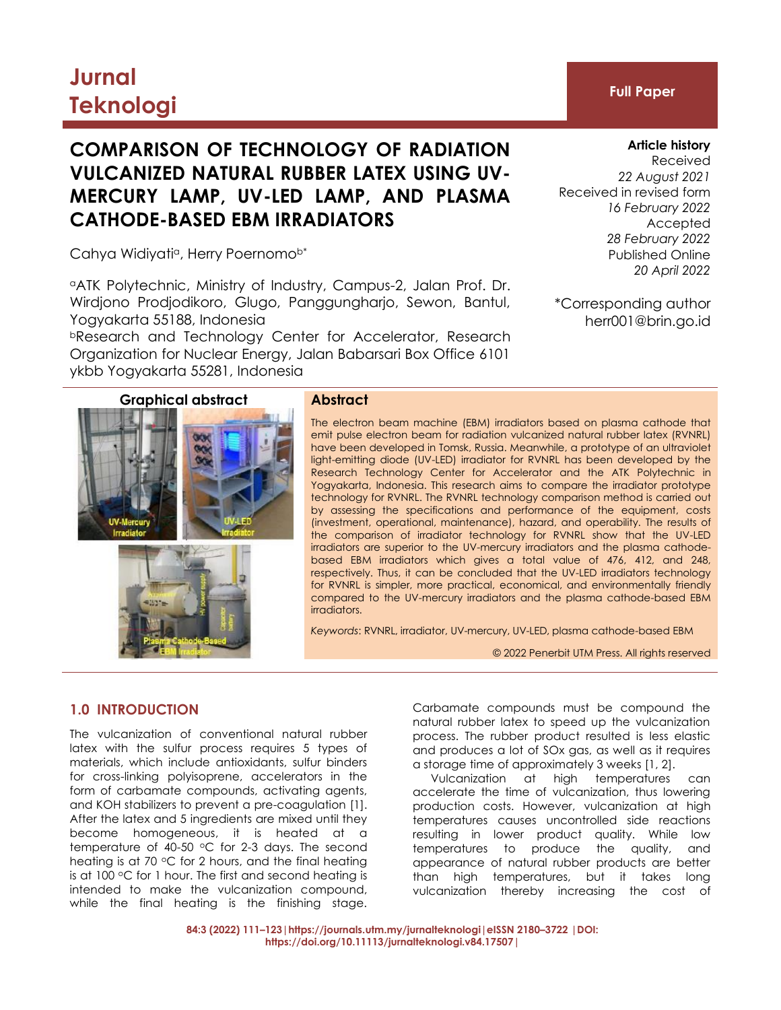# **Jurnal Teknologi Full Paper**

## **COMPARISON OF TECHNOLOGY OF RADIATION VULCANIZED NATURAL RUBBER LATEX USING UV-MERCURY LAMP, UV-LED LAMP, AND PLASMA CATHODE-BASED EBM IRRADIATORS**

Cahya Widiyati<sup>a</sup>, Herry Poernomo<sup>b\*</sup>

<sup>a</sup>ATK Polytechnic, Ministry of Industry, Campus-2, Jalan Prof. Dr. Wirdjono Prodjodikoro, Glugo, Panggungharjo, Sewon, Bantul, Yogyakarta 55188, Indonesia

<sup>b</sup>Research and Technology Center for Accelerator, Research Organization for Nuclear Energy, Jalan Babarsari Box Office 6101 ykbb Yogyakarta 55281, Indonesia



The electron beam machine (EBM) irradiators based on plasma cathode that emit pulse electron beam for radiation vulcanized natural rubber latex (RVNRL) have been developed in Tomsk, Russia. Meanwhile, a prototype of an ultraviolet light-emitting diode (UV-LED) irradiator for RVNRL has been developed by the Research Technology Center for Accelerator and the ATK Polytechnic in Yogyakarta, Indonesia. This research aims to compare the irradiator prototype technology for RVNRL. The RVNRL technology comparison method is carried out by assessing the specifications and performance of the equipment, costs (investment, operational, maintenance), hazard, and operability. The results of the comparison of irradiator technology for RVNRL show that the UV-LED irradiators are superior to the UV-mercury irradiators and the plasma cathodebased EBM irradiators which gives a total value of 476, 412, and 248, respectively. Thus, it can be concluded that the UV-LED irradiators technology for RVNRL is simpler, more practical, economical, and environmentally friendly compared to the UV-mercury irradiators and the plasma cathode-based EBM irradiators.

*Keywords*: RVNRL, irradiator, UV-mercury, UV-LED, plasma cathode-based EBM

© 2022 Penerbit UTM Press. All rights reserved

### **1.0 INTRODUCTION**

The vulcanization of conventional natural rubber latex with the sulfur process requires 5 types of materials, which include antioxidants, sulfur binders for cross-linking polyisoprene, accelerators in the form of carbamate compounds, activating agents, and KOH stabilizers to prevent a pre-coagulation [1]. After the latex and 5 ingredients are mixed until they become homogeneous, it is heated at a temperature of 40-50  $\degree$ C for 2-3 days. The second heating is at 70  $\degree$ C for 2 hours, and the final heating is at 100  $\degree$ C for 1 hour. The first and second heating is intended to make the vulcanization compound, while the final heating is the finishing stage.

Carbamate compounds must be compound the natural rubber latex to speed up the vulcanization process. The rubber product resulted is less elastic and produces a lot of SOx gas, as well as it requires a storage time of approximately 3 weeks [1, 2].

Vulcanization at high temperatures can accelerate the time of vulcanization, thus lowering production costs. However, vulcanization at high temperatures causes uncontrolled side reactions resulting in lower product quality. While low temperatures to produce the quality, and appearance of natural rubber products are better than high temperatures, but it takes long vulcanization thereby increasing the cost of

**Article history**

Received *22 August 2021* Received in revised form *16 February 2022* Accepted *28 February 2022* Published Online *20 April 2022*

\*Corresponding author herr001@brin.go.id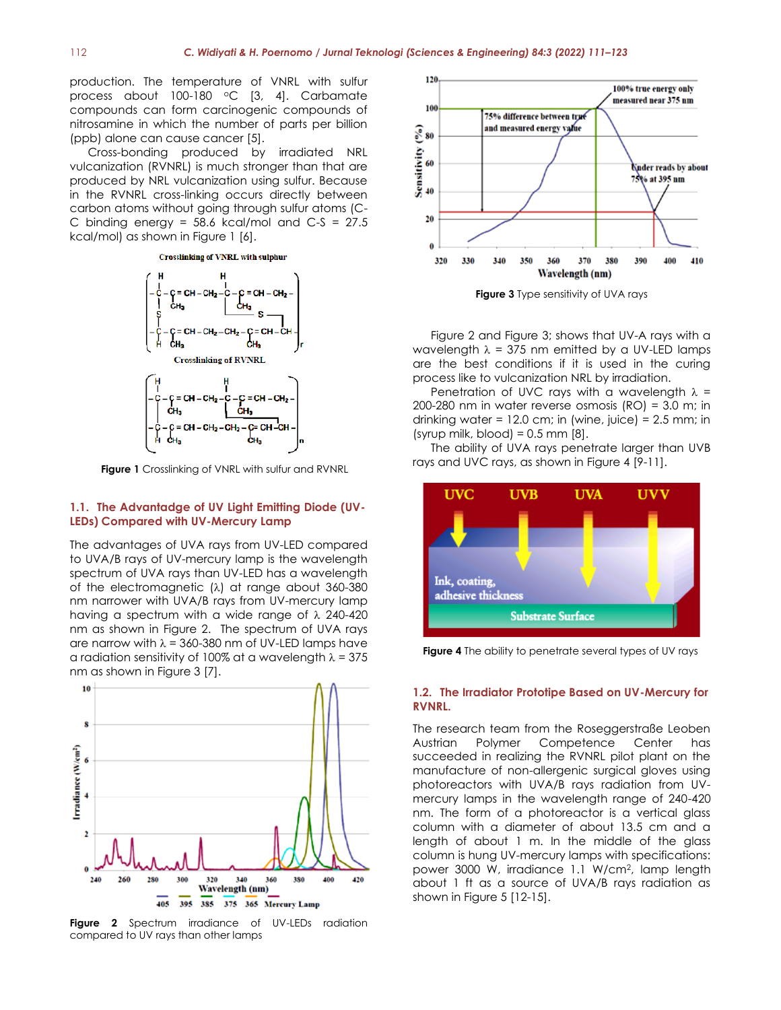production. The temperature of VNRL with sulfur process about 100-180 °C [3, 4]. Carbamate compounds can form carcinogenic compounds of nitrosamine in which the number of parts per billion (ppb) alone can cause cancer [5].

Cross-bonding produced by irradiated NRL vulcanization (RVNRL) is much stronger than that are produced by NRL vulcanization using sulfur. Because in the RVNRL cross-linking occurs directly between carbon atoms without going through sulfur atoms (C-C binding energy =  $58.6$  kcal/mol and C-S =  $27.5$ kcal/mol) as shown in Figure 1 [6].

#### **Crosslinking of VNRL with sulphur**



**Figure 1** Crosslinking of VNRL with sulfur and RVNRL

#### **1.1. The Advantadge of UV Light Emitting Diode (UV-LEDs) Compared with UV-Mercury Lamp**

The advantages of UVA rays from UV-LED compared to UVA/B rays of UV-mercury lamp is the wavelength spectrum of UVA rays than UV-LED has a wavelength of the electromagnetic  $(\lambda)$  at range about 360-380 nm narrower with UVA/B rays from UV-mercury lamp having a spectrum with a wide range of  $\lambda$  240-420 nm as shown in Figure 2. The spectrum of UVA rays are narrow with  $\lambda = 360-380$  nm of UV-LED lamps have a radiation sensitivity of 100% at a wavelength  $\lambda = 375$ nm as shown in Figure 3 [7].



**Figure 2** Spectrum irradiance of UV-LEDs radiation compared to UV rays than other lamps



**Figure 3** Type sensitivity of UVA rays

Figure 2 and Figure 3; shows that UV-A rays with a wavelength  $\lambda$  = 375 nm emitted by a UV-LED lamps are the best conditions if it is used in the curing process like to vulcanization NRL by irradiation.

Penetration of UVC rays with a wavelength  $\lambda$  = 200-280 nm in water reverse osmosis (RO) = 3.0 m; in drinking water =  $12.0$  cm; in (wine, juice) =  $2.5$  mm; in (syrup milk, blood) =  $0.5$  mm  $[8]$ .

The ability of UVA rays penetrate larger than UVB rays and UVC rays, as shown in Figure 4 [9-11].



**Figure 4** The ability to penetrate several types of UV rays

#### **1.2. The Irradiator Prototipe Based on UV-Mercury for RVNRL.**

The research team from the Roseggerstraße Leoben Austrian Polymer Competence Center has succeeded in realizing the RVNRL pilot plant on the manufacture of non-allergenic surgical gloves using photoreactors with UVA/B rays radiation from UVmercury lamps in the wavelength range of 240-420 nm. The form of a photoreactor is a vertical glass column with a diameter of about 13.5 cm and a length of about 1 m. In the middle of the glass column is hung UV-mercury lamps with specifications: power 3000 W, irradiance 1.1 W/cm<sup>2</sup> , lamp length about 1 ft as a source of UVA/B rays radiation as shown in Figure 5 [12-15].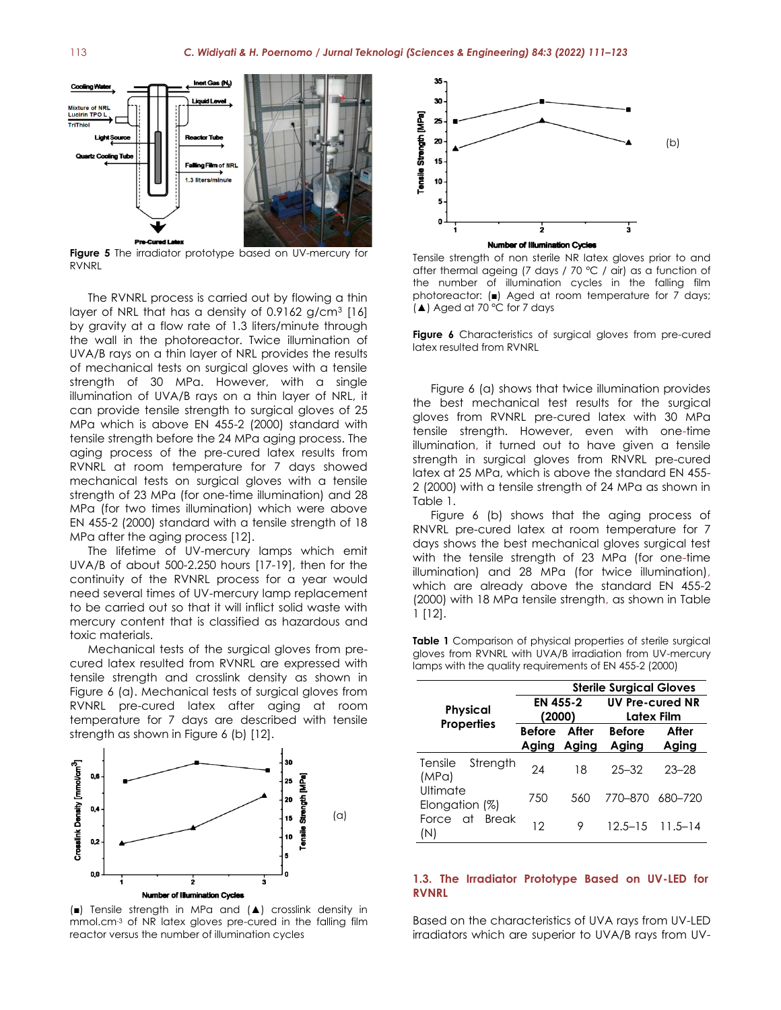Cooling W éd Le of NRL **Light S** 1.3 liters/minute

**Figure 5** The irradiator prototype based on UV-mercury for RVNRL

The RVNRL process is carried out by flowing a thin layer of NRL that has a density of 0.9162  $g/cm^3$  [16] by gravity at a flow rate of 1.3 liters/minute through the wall in the photoreactor. Twice illumination of UVA/B rays on a thin layer of NRL provides the results of mechanical tests on surgical gloves with a tensile strength of 30 MPa. However, with a single illumination of UVA/B rays on a thin layer of NRL, it can provide tensile strength to surgical gloves of 25 MPa which is above EN 455-2 (2000) standard with tensile strength before the 24 MPa aging process. The aging process of the pre-cured latex results from RVNRL at room temperature for 7 days showed mechanical tests on surgical gloves with a tensile strength of 23 MPa (for one-time illumination) and 28 MPa (for two times illumination) which were above EN 455-2 (2000) standard with a tensile strength of 18 MPa after the aging process [12].

The lifetime of UV-mercury lamps which emit UVA/B of about 500-2.250 hours [17-19], then for the continuity of the RVNRL process for a year would need several times of UV-mercury lamp replacement to be carried out so that it will inflict solid waste with mercury content that is classified as hazardous and toxic materials.

Mechanical tests of the surgical gloves from precured latex resulted from RVNRL are expressed with tensile strength and crosslink density as shown in Figure 6 (a). Mechanical tests of surgical gloves from RVNRL pre-cured latex after aging at room temperature for 7 days are described with tensile strength as shown in Figure 6 (b) [12].



(■) Tensile strength in MPa and (▲) crosslink density in mmol.cm-3 of NR latex gloves pre-cured in the falling film reactor versus the number of illumination cycles



Tensile strength of non sterile NR latex gloves prior to and after thermal ageing (7 days / 70 °C / air) as a function of the number of illumination cycles in the falling film photoreactor: (■) Aged at room temperature for 7 days; (▲) Aged at 70 °C for 7 days

**Figure 6** Characteristics of surgical gloves from pre-cured latex resulted from RVNRL

Figure 6 (a) shows that twice illumination provides the best mechanical test results for the surgical gloves from RVNRL pre-cured latex with 30 MPa tensile strength. However, even with one-time illumination, it turned out to have given a tensile strength in surgical gloves from RNVRL pre-cured latex at 25 MPa, which is above the standard EN 455- 2 (2000) with a tensile strength of 24 MPa as shown in Table 1.

Figure 6 (b) shows that the aging process of RNVRL pre-cured latex at room temperature for 7 days shows the best mechanical gloves surgical test with the tensile strength of 23 MPa (for one-time illumination) and 28 MPa (for twice illumination), which are already above the standard EN 455-2 (2000) with 18 MPa tensile strength, as shown in Table 1 [12].

**Table 1** Comparison of physical properties of sterile surgical gloves from RVNRL with UVA/B irradiation from UV-mercury lamps with the quality requirements of EN 455-2 (2000)

|                                    |                       |       | <b>Sterile Surgical Gloves</b>       |                         |  |  |
|------------------------------------|-----------------------|-------|--------------------------------------|-------------------------|--|--|
| <b>Physical</b>                    | EN 455-2<br>(2000)    |       | <b>UV Pre-cured NR</b><br>Latex Film |                         |  |  |
| <b>Properties</b>                  | Before After<br>Aging | Aging | <b>Before</b><br>Aging               | After<br>Aging          |  |  |
| Strength<br>Tensile<br>(MPa)       | 24                    | 18    | $25 - 32$                            | $23 - 28$               |  |  |
| Ultimate<br>Elongation (%)         | 750                   | 560   | 770-870                              | 680-720                 |  |  |
| at<br><b>Break</b><br>Force<br>(N) | 12                    | 9     |                                      | $12.5 - 15$ $11.5 - 14$ |  |  |

#### **1.3. The Irradiator Prototype Based on UV-LED for RVNRL**

Based on the characteristics of UVA rays from UV-LED irradiators which are superior to UVA/B rays from UV-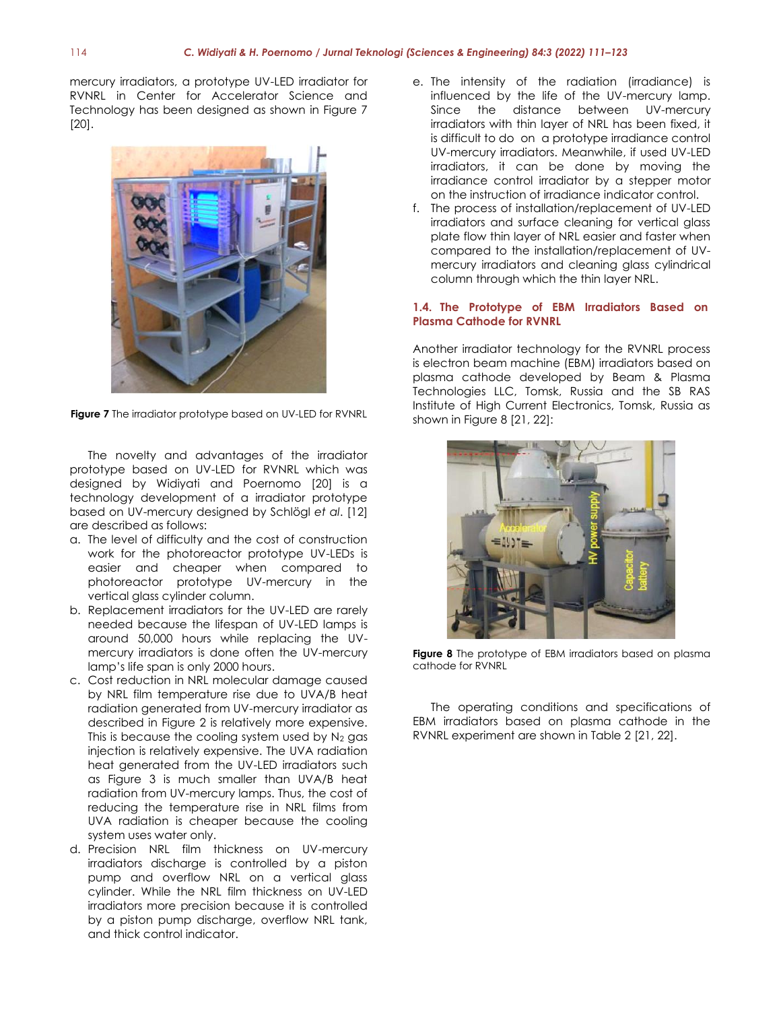mercury irradiators, a prototype UV-LED irradiator for RVNRL in Center for Accelerator Science and Technology has been designed as shown in Figure 7 [20].



**Figure 7** The irradiator prototype based on UV-LED for RVNRL

The novelty and advantages of the irradiator prototype based on UV-LED for RVNRL which was designed by Widiyati and Poernomo [20] is a technology development of a irradiator prototype based on UV-mercury designed by Schlögl *et al*. [12] are described as follows:

- a. The level of difficulty and the cost of construction work for the photoreactor prototype UV-LEDs is easier and cheaper when compared to photoreactor prototype UV-mercury in the vertical glass cylinder column.
- b. Replacement irradiators for the UV-LED are rarely needed because the lifespan of UV-LED lamps is around 50,000 hours while replacing the UVmercury irradiators is done often the UV-mercury lamp's life span is only 2000 hours.
- c. Cost reduction in NRL molecular damage caused by NRL film temperature rise due to UVA/B heat radiation generated from UV-mercury irradiator as described in Figure 2 is relatively more expensive. This is because the cooling system used by  $N_2$  gas injection is relatively expensive. The UVA radiation heat generated from the UV-LED irradiators such as Figure 3 is much smaller than UVA/B heat radiation from UV-mercury lamps. Thus, the cost of reducing the temperature rise in NRL films from UVA radiation is cheaper because the cooling system uses water only.
- d. Precision NRL film thickness on UV-mercury irradiators discharge is controlled by a piston pump and overflow NRL on a vertical glass cylinder. While the NRL film thickness on UV-LED irradiators more precision because it is controlled by a piston pump discharge, overflow NRL tank, and thick control indicator.
- e. The intensity of the radiation (irradiance) is influenced by the life of the UV-mercury lamp. Since the distance between UV-mercury irradiators with thin layer of NRL has been fixed, it is difficult to do on a prototype irradiance control UV-mercury irradiators. Meanwhile, if used UV-LED irradiators, it can be done by moving the irradiance control irradiator by a stepper motor on the instruction of irradiance indicator control.
- f. The process of installation/replacement of UV-LED irradiators and surface cleaning for vertical glass plate flow thin layer of NRL easier and faster when compared to the installation/replacement of UVmercury irradiators and cleaning glass cylindrical column through which the thin layer NRL.

#### **1.4. The Prototype of EBM Irradiators Based on Plasma Cathode for RVNRL**

Another irradiator technology for the RVNRL process is electron beam machine (EBM) irradiators based on plasma cathode developed by Beam & Plasma Technologies LLC, Tomsk, Russia and the SB RAS Institute of High Current Electronics, Tomsk, Russia as shown in Figure 8 [21, 22]:



**Figure 8** The prototype of EBM irradiators based on plasma cathode for RVNRL

The operating conditions and specifications of EBM irradiators based on plasma cathode in the RVNRL experiment are shown in Table 2 [21, 22].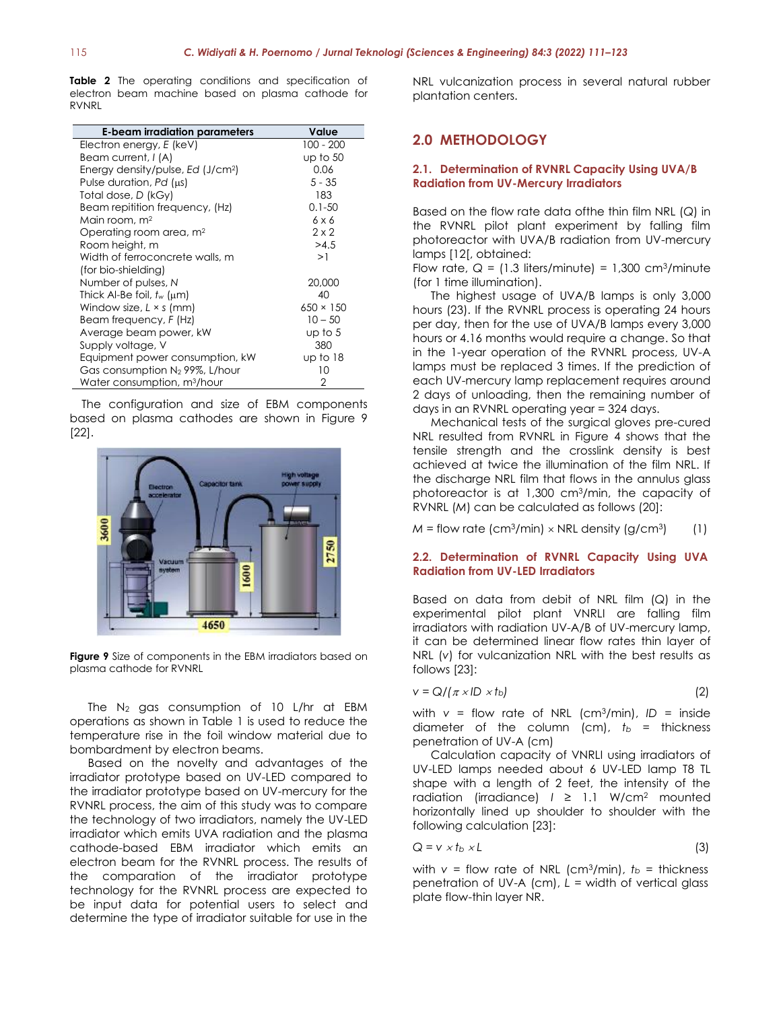**Table 2** The operating conditions and specification of electron beam machine based on plasma cathode for RVNRL

| E-beam irradiation parameters                 | Value            |
|-----------------------------------------------|------------------|
| Electron energy, E (keV)                      | $100 - 200$      |
| Beam current, I (A)                           | up to $50$       |
| Energy density/pulse, Ed (J/cm <sup>2</sup> ) | 0.06             |
| Pulse duration, $Pd$ ( $\mu s$ )              | $5 - 35$         |
| Total dose, D (kGy)                           | 183              |
| Beam repitition frequency, (Hz)               | $0.1 - 50$       |
| Main room, m <sup>2</sup>                     | 6 x 6            |
| Operating room area, m <sup>2</sup>           | $2 \times 2$     |
| Room height, m                                | >4.5             |
| Width of ferroconcrete walls, m               | >1               |
| (for bio-shielding)                           |                  |
| Number of pulses, N                           | 20,000           |
| Thick Al-Be foil, $t_w$ ( $\mu$ m)            | 40               |
| Window size, $L \times s$ (mm)                | $650 \times 150$ |
| Beam frequency, F (Hz)                        | $10 - 50$        |
| Average beam power, kW                        | up to 5          |
| Supply voltage, V                             | 380              |
| Equipment power consumption, kW               | up to 18         |
| Gas consumption $N_2$ 99%, L/hour             | 10               |
| Water consumption, m <sup>3</sup> /hour       | 2                |

The configuration and size of EBM components based on plasma cathodes are shown in Figure 9 [22].



**Figure 9** Size of components in the EBM irradiators based on plasma cathode for RVNRL

The  $N_2$  gas consumption of 10 L/hr at EBM operations as shown in Table 1 is used to reduce the temperature rise in the foil window material due to bombardment by electron beams.

Based on the novelty and advantages of the irradiator prototype based on UV-LED compared to the irradiator prototype based on UV-mercury for the RVNRL process, the aim of this study was to compare the technology of two irradiators, namely the UV-LED irradiator which emits UVA radiation and the plasma cathode-based EBM irradiator which emits an electron beam for the RVNRL process. The results of the comparation of the irradiator prototype technology for the RVNRL process are expected to be input data for potential users to select and determine the type of irradiator suitable for use in the

NRL vulcanization process in several natural rubber plantation centers.

### **2.0 METHODOLOGY**

#### **2.1. Determination of RVNRL Capacity Using UVA/B Radiation from UV-Mercury Irradiators**

Based on the flow rate data ofthe thin film NRL (*Q*) in the RVNRL pilot plant experiment by falling film photoreactor with UVA/B radiation from UV-mercury lamps [12[, obtained:

Flow rate,  $Q = (1.3$  liters/minute) =  $1,300$  cm<sup>3</sup>/minute (for 1 time illumination).

The highest usage of UVA/B lamps is only 3,000 hours (23). If the RVNRL process is operating 24 hours per day, then for the use of UVA/B lamps every 3,000 hours or 4.16 months would require a change. So that in the 1-year operation of the RVNRL process, UV-A lamps must be replaced 3 times. If the prediction of each UV-mercury lamp replacement requires around 2 days of unloading, then the remaining number of days in an RVNRL operating year = 324 days.

Mechanical tests of the surgical gloves pre-cured NRL resulted from RVNRL in Figure 4 shows that the tensile strength and the crosslink density is best achieved at twice the illumination of the film NRL. If the discharge NRL film that flows in the annulus glass photoreactor is at 1,300 cm<sup>3</sup>/min, the capacity of RVNRL (*M*) can be calculated as follows (20]:

 $M =$  flow rate (cm<sup>3</sup>/min)  $\times$  NRL density (g/cm<sup>3</sup>) ) (1)

#### **2.2. Determination of RVNRL Capacity Using UVA Radiation from UV-LED Irradiators**

Based on data from debit of NRL film (*Q*) in the experimental pilot plant VNRLI are falling film irradiators with radiation UV-A/B of UV-mercury lamp, it can be determined linear flow rates thin layer of NRL (*v*) for vulcanization NRL with the best results as follows [23]:

$$
v = Q/(\pi \times ID \times t_b)
$$
 (2)

with  $v =$  flow rate of NRL (cm<sup>3</sup>/min),  $ID =$  inside diameter of the column (cm),  $t_b$  = thickness penetration of UV-A (cm)

Calculation capacity of VNRLI using irradiators of UV-LED lamps needed about 6 UV-LED lamp T8 TL shape with a length of 2 feet, the intensity of the radiation (irradiance) *I* ≥ 1.1 W/cm<sup>2</sup> mounted horizontally lined up shoulder to shoulder with the following calculation [23]:

$$
Q = v \times t_b \times L \tag{3}
$$

with  $v =$  flow rate of NRL (cm<sup>3</sup>/min),  $t_b =$  thickness penetration of UV-A (cm), *L* = width of vertical glass plate flow-thin layer NR.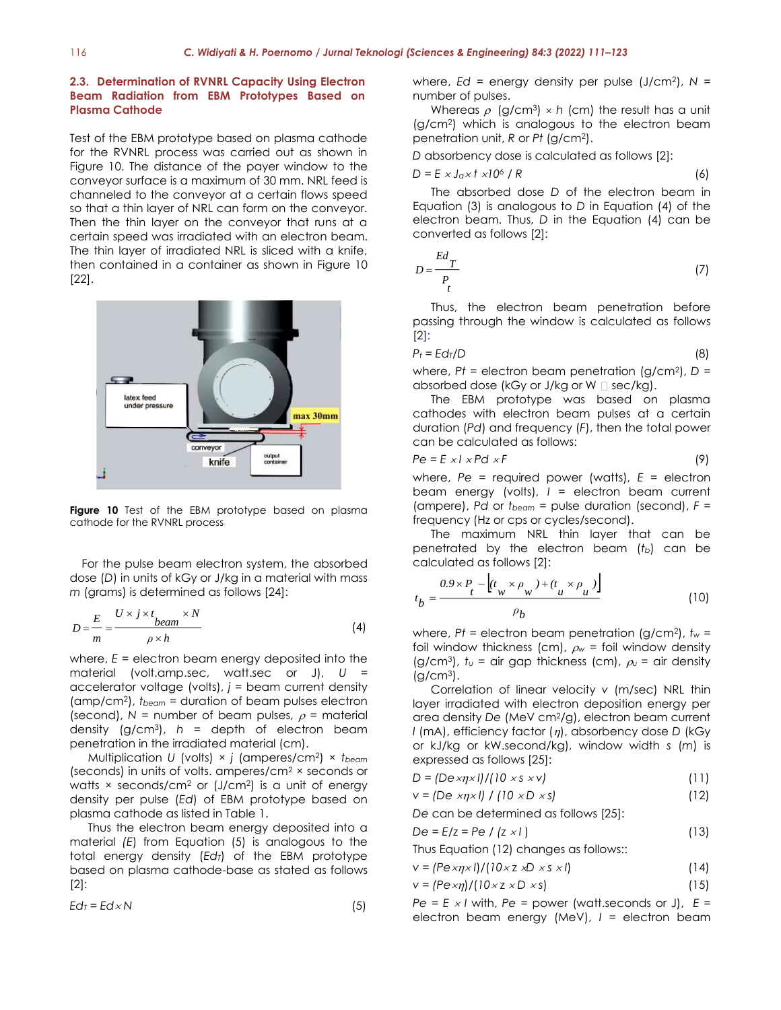#### **2.3. Determination of RVNRL Capacity Using Electron Beam Radiation from EBM Prototypes Based on Plasma Cathode**

Test of the EBM prototype based on plasma cathode for the RVNRL process was carried out as shown in Figure 10. The distance of the payer window to the conveyor surface is a maximum of 30 mm. NRL feed is channeled to the conveyor at a certain flows speed so that a thin layer of NRL can form on the conveyor. Then the thin layer on the conveyor that runs at a certain speed was irradiated with an electron beam. The thin layer of irradiated NRL is sliced with a knife, then contained in a container as shown in Figure 10 [22].



Figure 10 Test of the EBM prototype based on plasma cathode for the RVNRL process

For the pulse beam electron system, the absorbed dose (*D*) in units of kGy or J/kg in a material with mass *m* (grams) is determined as follows [24]:

$$
D = \frac{E}{m} = \frac{U \times j \times t_{beam} \times N}{\rho \times h}
$$
 (4)

where, *E* = electron beam energy deposited into the material (volt.amp.sec, watt.sec or J), *U* = accelerator voltage (volts),  $j =$  beam current density (amp/cm<sup>2</sup> ), *tbeam* = duration of beam pulses electron (second),  $N =$  number of beam pulses,  $\rho =$  material density (g/cm<sup>3</sup> ), *h* = depth of electron beam penetration in the irradiated material (cm).

Multiplication *U* (volts) × *j* (amperes/cm<sup>2</sup> ) × *tbeam* (seconds) in units of volts. amperes/cm<sup>2</sup> × seconds or watts  $\times$  seconds/cm<sup>2</sup> or (J/cm<sup>2</sup>) is a unit of energy density per pulse (*Ed*) of EBM prototype based on plasma cathode as listed in Table 1.

Thus the electron beam energy deposited into a material *(E*) from Equation (5) is analogous to the total energy density (*EdT*) of the EBM prototype based on plasma cathode-base as stated as follows [2]:

$$
Ed_7 = Ed \times N \tag{5}
$$

where, *Ed* = energy density per pulse (J/cm<sup>2</sup> ), *N* = number of pulses.

Whereas  $\rho$  (g/cm<sup>3</sup>)  $\times$  h (cm) the result has a unit (g/cm<sup>2</sup> ) which is analogous to the electron beam penetration unit, *R* or *Pt* (g/cm<sup>2</sup> ).

*D* absorbency dose is calculated as follows [2]:

$$
D = E \times J_0 \times t \times 10^6 / R \tag{6}
$$

The absorbed dose *D* of the electron beam in Equation (3) is analogous to *D* in Equation (4) of the electron beam. Thus, *D* in the Equation (4) can be converted as follows [2]:

$$
D = \frac{Ed_T}{P_t} \tag{7}
$$

Thus, the electron beam penetration before passing through the window is calculated as follows [2]:

$$
P_t = Ed_T/D \tag{8}
$$

where, *Pt* = electron beam penetration (g/cm<sup>2</sup> ), *D* = absorbed dose (kGy or J/kg or W  $\Box$  sec/kg).

The EBM prototype was based on plasma cathodes with electron beam pulses at a certain duration (*Pd*) and frequency (*F*), then the total power can be calculated as follows:

$$
Pe = E \times I \times P d \times F \tag{9}
$$

where, *Pe* = required power (watts), *E* = electron beam energy (volts), *I* = electron beam current (ampere), *Pd* or *tbeam* = pulse duration (second), *F* = frequency (Hz or cps or cycles/second).

The maximum NRL thin layer that can be penetrated by the electron beam (*tb*) can be calculated as follows [2]:

$$
t_b = \frac{0.9 \times P_t - \left(t_w \times \rho_w\right) + \left(t_u \times \rho_u\right)}{\rho_b} \tag{10}
$$

where, *Pt* = electron beam penetration (g/cm<sup>2</sup> ), *t<sup>w</sup>* = foil window thickness (cm),  $\rho_w$  = foil window density (g/cm<sup>3</sup>),  $t_v = \text{air gap thickness (cm)}$ ,  $\rho_v = \text{air density}$  $(g/cm<sup>3</sup>)$ .

Correlation of linear velocity *v* (m/sec) NRL thin layer irradiated with electron deposition energy per area density *De* (MeV cm<sup>2</sup>/g), electron beam current *I* (mA), efficiency factor ( $\eta$ ), absorbency dose *D* (kGy or kJ/kg or kW.second/kg), window width *s* (*m*) is expressed as follows [25]:

$$
D = \frac{|\text{D} \exp(x)|}{|10 \times s \times v|} \tag{11}
$$

$$
v = (De \times \eta \times I) / (10 \times D \times s)
$$
 (12)

*De* can be determined as follows [25]:

$$
De = E/z = Pe / (z \times l)
$$
 (13)

Thus Equation (12) changes as follows::

$$
v = (P \exp x I) / (10 \times z \times D \times s \times I)
$$
 (14)

$$
v = (P \exp)/(10 \times z \times D \times s) \tag{15}
$$

*Pe* =  $E \times I$  with, *Pe* = power (watt.seconds or J),  $E =$ electron beam energy (MeV), *I* = electron beam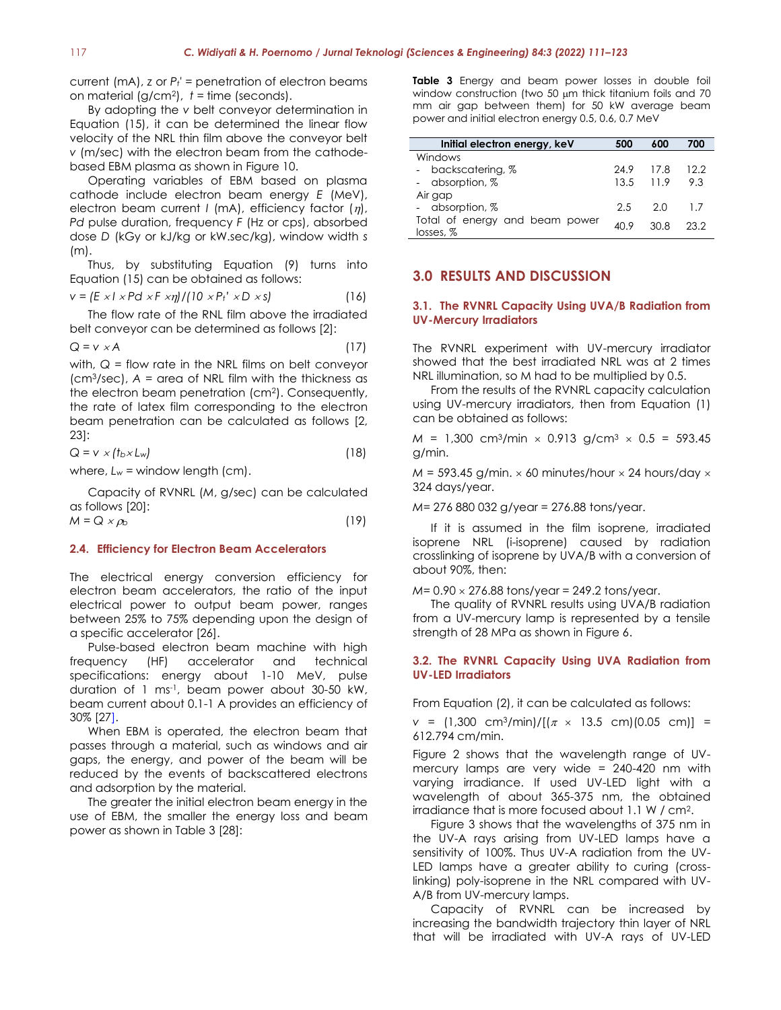current (mA), *z* or *Pt'* = penetration of electron beams on material (g/cm<sup>2</sup> ), *t* = time (seconds).

By adopting the *v* belt conveyor determination in Equation (15), it can be determined the linear flow velocity of the NRL thin film above the conveyor belt *v* (m/sec) with the electron beam from the cathodebased EBM plasma as shown in Figure 10.

Operating variables of EBM based on plasma cathode include electron beam energy *E* (MeV), electron beam current  $I$  (mA), efficiency factor  $(\eta)$ , *Pd* pulse duration, frequency *F* (Hz or cps), absorbed dose *D* (kGy or kJ/kg or kW.sec/kg), window width *s* (m).

Thus, by substituting Equation (9) turns into Equation (15) can be obtained as follows:

$$
v = (E \times I \times Pd \times F \times \eta) / (10 \times Pt' \times D \times s)
$$
 (16)

The flow rate of the RNL film above the irradiated belt conveyor can be determined as follows [2]:

$$
Q = v \times A \tag{17}
$$

with, *Q* = flow rate in the NRL films on belt conveyor (cm<sup>3</sup>/sec), *A* = area of NRL film with the thickness as the electron beam penetration (cm<sup>2</sup> ). Consequently, the rate of latex film corresponding to the electron beam penetration can be calculated as follows [2, 23]:

$$
Q = v \times (t_b \times L_w) \tag{18}
$$

where,  $L_w$  = window length (cm).

Capacity of RVNRL (*M*, g/sec) can be calculated as follows [20]:  $M = Q \times \rho_b$  (19)

#### **2.4. Efficiency for Electron Beam Accelerators**

The electrical energy conversion efficiency for electron beam accelerators, the ratio of the input electrical power to output beam power, ranges between 25% to 75% depending upon the design of a specific accelerator [26].

Pulse-based electron beam machine with high frequency (HF) accelerator and technical specifications: energy about 1-10 MeV, pulse duration of 1 ms-1 , beam power about 30-50 kW, beam current about 0.1-1 A provides an efficiency of 30% [27].

When EBM is operated, the electron beam that passes through a material, such as windows and air gaps, the energy, and power of the beam will be reduced by the events of backscattered electrons and adsorption by the material.

The greater the initial electron beam energy in the use of EBM, the smaller the energy loss and beam power as shown in Table 3 [28]:

**Table 3** Energy and beam power losses in double foil window construction (two 50  $\mu$ m thick titanium foils and 70 mm air gap between them) for 50 kW average beam power and initial electron energy 0.5, 0.6, 0.7 MeV

| Initial electron energy, keV   | 500       | 600         | 700     |
|--------------------------------|-----------|-------------|---------|
| Windows                        |           |             |         |
| - backscatering, %             | 24.9 17.8 |             | 12.2    |
| - absorption, %                |           | $13.5$ 11.9 | 9.3     |
| Air gap                        |           |             |         |
| - absorption, %                | 2.5       | -2.0        | $\perp$ |
| Total of energy and beam power | 4N 9      | 30 R        | 23.2    |
| losses, %                      |           |             |         |

#### **3.0 RESULTS AND DISCUSSION**

#### **3.1. The RVNRL Capacity Using UVA/B Radiation from UV-Mercury Irradiators**

The RVNRL experiment with UV-mercury irradiator showed that the best irradiated NRL was at 2 times NRL illumination, so M had to be multiplied by 0.5.

From the results of the RVNRL capacity calculation using UV-mercury irradiators, then from Equation (1) can be obtained as follows:

 $M = 1,300$  cm<sup>3</sup>/min  $\times$  0.913 g/cm<sup>3</sup>  $\times$  0.5 = 593.45 g/min.

 $M = 593.45$  g/min.  $\times$  60 minutes/hour  $\times$  24 hours/day  $\times$ 324 days/year.

*M*= 276 880 032 g/year = 276.88 tons/year.

If it is assumed in the film isoprene, irradiated isoprene NRL (i-isoprene) caused by radiation crosslinking of isoprene by UVA/B with a conversion of about 90%, then:

*M* = 0.90  $\times$  276.88 tons/year = 249.2 tons/year.

The quality of RVNRL results using UVA/B radiation from a UV-mercury lamp is represented by a tensile strength of 28 MPa as shown in Figure 6.

#### **3.2. The RVNRL Capacity Using UVA Radiation from UV-LED Irradiators**

From Equation (2), it can be calculated as follows:

*v* =  $(1,300 \text{ cm}^3/\text{min})/[(\pi \times 13.5 \text{ cm})](0.05 \text{ cm})$  = 612.794 cm/min.

Figure 2 shows that the wavelength range of UVmercury lamps are very wide = 240-420 nm with varying irradiance. If used UV-LED light with a wavelength of about 365-375 nm, the obtained irradiance that is more focused about 1.1 W / cm<sup>2</sup> .

Figure 3 shows that the wavelengths of 375 nm in the UV-A rays arising from UV-LED lamps have a sensitivity of 100%. Thus UV-A radiation from the UV-LED lamps have a greater ability to curing (crosslinking) poly-isoprene in the NRL compared with UV-A/B from UV-mercury lamps.

Capacity of RVNRL can be increased by increasing the bandwidth trajectory thin layer of NRL that will be irradiated with UV-A rays of UV-LED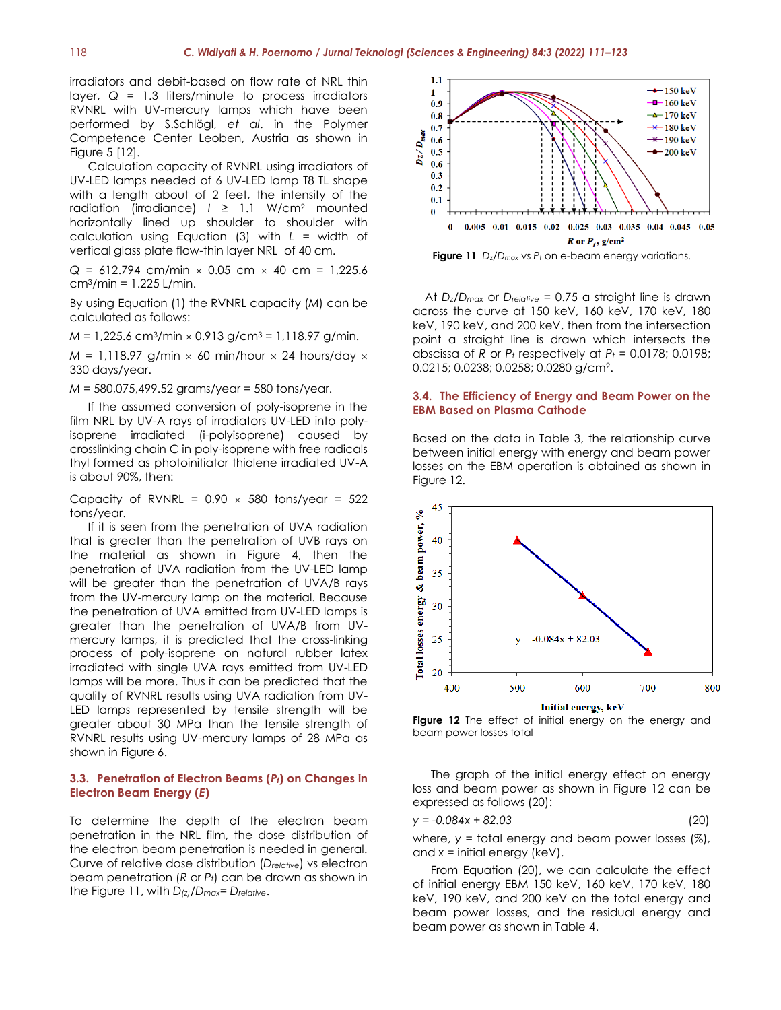irradiators and debit-based on flow rate of NRL thin layer,  $Q = 1.3$  liters/minute to process irradiators RVNRL with UV-mercury lamps which have been performed by S.Schlögl, *et al*. in the Polymer Competence Center Leoben, Austria as shown in Figure 5 [12].

Calculation capacity of RVNRL using irradiators of UV-LED lamps needed of 6 UV-LED lamp T8 TL shape with a length about of 2 feet, the intensity of the radiation (irradiance)  $I \geq 1.1$  W/cm<sup>2</sup> mounted horizontally lined up shoulder to shoulder with calculation using Equation (3) with *L* = width of vertical glass plate flow-thin layer NRL of 40 cm.

 $Q = 612.794$  cm/min  $\times$  0.05 cm  $\times$  40 cm = 1,225.6  $cm<sup>3</sup>/min = 1.225 L/min$ .

By using Equation (1) the RVNRL capacity (*M*) can be calculated as follows:

 $M = 1,225.6$  cm<sup>3</sup>/min  $\times$  0.913 g/cm<sup>3</sup> = 1,118.97 g/min.

 $M = 1,118.97$  g/min  $\times$  60 min/hour  $\times$  24 hours/day  $\times$ 330 days/year.

*M* = 580,075,499.52 grams/year = 580 tons/year.

If the assumed conversion of poly-isoprene in the film NRL by UV-A rays of irradiators UV-LED into polyisoprene irradiated (i-polyisoprene) caused by crosslinking chain C in poly-isoprene with free radicals thyl formed as photoinitiator thiolene irradiated UV-A is about 90%, then:

Capacity of RVNRL =  $0.90 \times 580$  tons/year =  $522$ tons/year.

If it is seen from the penetration of UVA radiation that is greater than the penetration of UVB rays on the material as shown in Figure 4, then the penetration of UVA radiation from the UV-LED lamp will be greater than the penetration of UVA/B rays from the UV-mercury lamp on the material. Because the penetration of UVA emitted from UV-LED lamps is greater than the penetration of UVA/B from UVmercury lamps, it is predicted that the cross-linking process of poly-isoprene on natural rubber latex irradiated with single UVA rays emitted from UV-LED lamps will be more. Thus it can be predicted that the quality of RVNRL results using UVA radiation from UV-LED lamps represented by tensile strength will be greater about 30 MPa than the tensile strength of RVNRL results using UV-mercury lamps of 28 MPa as shown in Figure 6.

#### **3.3. Penetration of Electron Beams (***Pt***) on Changes in Electron Beam Energy (***E***)**

To determine the depth of the electron beam penetration in the NRL film, the dose distribution of the electron beam penetration is needed in general. Curve of relative dose distribution (*Drelative*) vs electron beam penetration (*R* or *Pt*) can be drawn as shown in the Figure 11, with *D(z)/Dmax*= *Drelative*.



**Figure 11** *Dz/Dmax* vs *P<sup>t</sup>* on e-beam energy variations.

At *Dz/Dmax* or *Drelative* = 0.75 a straight line is drawn across the curve at 150 keV, 160 keV, 170 keV, 180 keV, 190 keV, and 200 keV, then from the intersection point a straight line is drawn which intersects the abscissa of *R* or  $P_t$  respectively at  $P_t$  = 0.0178; 0.0198; 0.0215; 0.0238; 0.0258; 0.0280 g/cm<sup>2</sup> .

#### **3.4. The Efficiency of Energy and Beam Power on the EBM Based on Plasma Cathode**

Based on the data in Table 3, the relationship curve between initial energy with energy and beam power losses on the EBM operation is obtained as shown in Figure 12.



**Figure 12** The effect of initial energy on the energy and beam power losses total

The graph of the initial energy effect on energy loss and beam power as shown in Figure 12 can be expressed as follows (20):

$$
y = -0.084x + 82.03 \tag{20}
$$

where, *y* = total energy and beam power losses (%), and *x* = initial energy (keV).

From Equation (20), we can calculate the effect of initial energy EBM 150 keV, 160 keV, 170 keV, 180 keV, 190 keV, and 200 keV on the total energy and beam power losses, and the residual energy and beam power as shown in Table 4.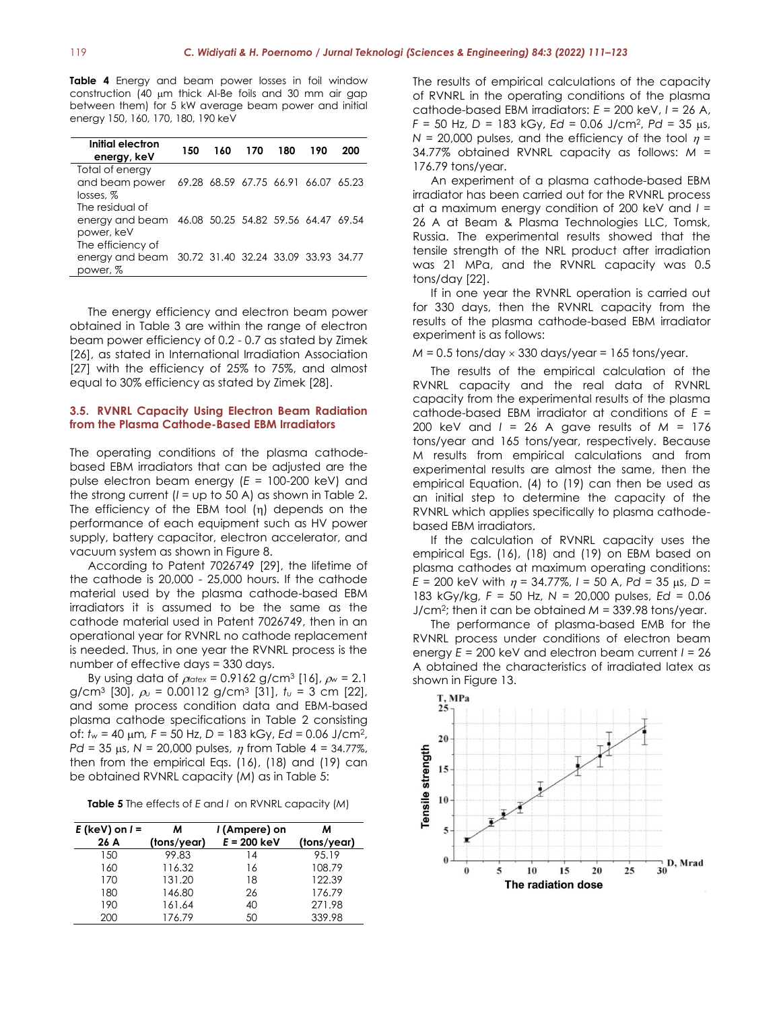**Table 4** Energy and beam power losses in foil window construction (40  $\mu$ m thick Al-Be foils and 30 mm air gap between them) for 5 kW average beam power and initial energy 150, 160, 170, 180, 190 keV

| Initial electron<br>energy, keV                                                      | 150 | 160 | 170 | 180 | 190                                 | 200 |
|--------------------------------------------------------------------------------------|-----|-----|-----|-----|-------------------------------------|-----|
| Total of energy<br>and beam power<br>losses. %                                       |     |     |     |     | 69.28 68.59 67.75 66.91 66.07 65.23 |     |
| The residual of<br>energy and beam 46.08 50.25 54.82 59.56 64.47 69.54<br>power, keV |     |     |     |     |                                     |     |
| The efficiency of<br>energy and beam 30.72 31.40 32.24 33.09 33.93 34.77<br>power, % |     |     |     |     |                                     |     |

The energy efficiency and electron beam power obtained in Table 3 are within the range of electron beam power efficiency of 0.2 - 0.7 as stated by Zimek [26], as stated in International Irradiation Association [27] with the efficiency of 25% to 75%, and almost equal to 30% efficiency as stated by Zimek [28].

#### **3.5. RVNRL Capacity Using Electron Beam Radiation from the Plasma Cathode-Based EBM Irradiators**

The operating conditions of the plasma cathodebased EBM irradiators that can be adjusted are the pulse electron beam energy (*E* = 100-200 keV) and the strong current (*I* = up to 50 A) as shown in Table 2. The efficiency of the EBM tool  $(n)$  depends on the performance of each equipment such as HV power supply, battery capacitor, electron accelerator, and vacuum system as shown in Figure 8.

According to Patent 7026749 [29], the lifetime of the cathode is 20,000 - 25,000 hours. If the cathode material used by the plasma cathode-based EBM irradiators it is assumed to be the same as the cathode material used in Patent 7026749, then in an operational year for RVNRL no cathode replacement is needed. Thus, in one year the RVNRL process is the number of effective days = 330 days.

By using data of  $\rho_{\text{atex}} = 0.9162 \text{ g/cm}^3 \text{ [16]}$ ,  $\rho_w = 2.1$ g/cm<sup>3</sup> [30], *<sup>u</sup>* = 0.00112 g/cm<sup>3</sup> [31], *t<sup>u</sup>* = 3 cm [22], and some process condition data and EBM-based plasma cathode specifications in Table 2 consisting of: *t<sub>w</sub>* = 40 μm, *F* = 50 Hz, *D* = 183 kGy, *Ed* = 0.06 J/cm<sup>2</sup>, *Pd* = 35  $\mu$ s, *N* = 20,000 pulses,  $\eta$  from Table 4 = 34.77%, then from the empirical Eqs. (16), (18) and (19) can be obtained RVNRL capacity (*M*) as in Table 5:

**Table 5** The effects of *E* and *I* on RVNRL capacity (*M*)

| $E$ (keV) on $I =$ | м           | I (Ampere) on | м           |
|--------------------|-------------|---------------|-------------|
| 26 A               | (tons/year) | $E = 200$ keV | (tons/year) |
| 150                | 99.83       | 14            | 95.19       |
| 160                | 116.32      | 16            | 108.79      |
| 170                | 131.20      | 18            | 122.39      |
| 180                | 146.80      | 26            | 176.79      |
| 190                | 161.64      | 40            | 271.98      |
| 200                | 176.79      | 50            | 339.98      |

The results of empirical calculations of the capacity of RVNRL in the operating conditions of the plasma cathode-based EBM irradiators: *E* = 200 keV, *I* = 26 A, *F* = 50 Hz, *D* = 183 kGy, *Ed* = 0.06 J/cm<sup>2</sup>, *Pd* = 35 μs,  $N = 20,000$  pulses, and the efficiency of the tool  $n =$ 34.77% obtained RVNRL capacity as follows: *M* = 176.79 tons/year.

An experiment of a plasma cathode-based EBM irradiator has been carried out for the RVNRL process at a maximum energy condition of 200 keV and *I* = 26 A at Beam & Plasma Technologies LLC, Tomsk, Russia. The experimental results showed that the tensile strength of the NRL product after irradiation was 21 MPa, and the RVNRL capacity was 0.5 tons/day [22].

If in one year the RVNRL operation is carried out for 330 days, then the RVNRL capacity from the results of the plasma cathode-based EBM irradiator experiment is as follows:

 $M = 0.5$  tons/day  $\times$  330 days/year = 165 tons/year.

The results of the empirical calculation of the RVNRL capacity and the real data of RVNRL capacity from the experimental results of the plasma cathode-based EBM irradiator at conditions of *E* = 200 keV and *I* = 26 A gave results of *M* = 176 tons/year and 165 tons/year, respectively. Because M results from empirical calculations and from experimental results are almost the same, then the empirical Equation. (4) to (19) can then be used as an initial step to determine the capacity of the RVNRL which applies specifically to plasma cathodebased EBM irradiators.

If the calculation of RVNRL capacity uses the empirical Egs. (16), (18) and (19) on EBM based on plasma cathodes at maximum operating conditions:  $E = 200$  keV with  $\eta = 34.77\%$ ,  $I = 50$  A,  $Pd = 35$   $\mu$ s,  $D =$ 183 kGy/kg, *F* = 50 Hz, *N* = 20,000 pulses, *Ed* = 0.06 J/cm<sup>2</sup> ; then it can be obtained *M* = 339.98 tons/year.

The performance of plasma-based EMB for the RVNRL process under conditions of electron beam energy *E* = 200 keV and electron beam current *I* = 26 A obtained the characteristics of irradiated latex as shown in Figure 13.

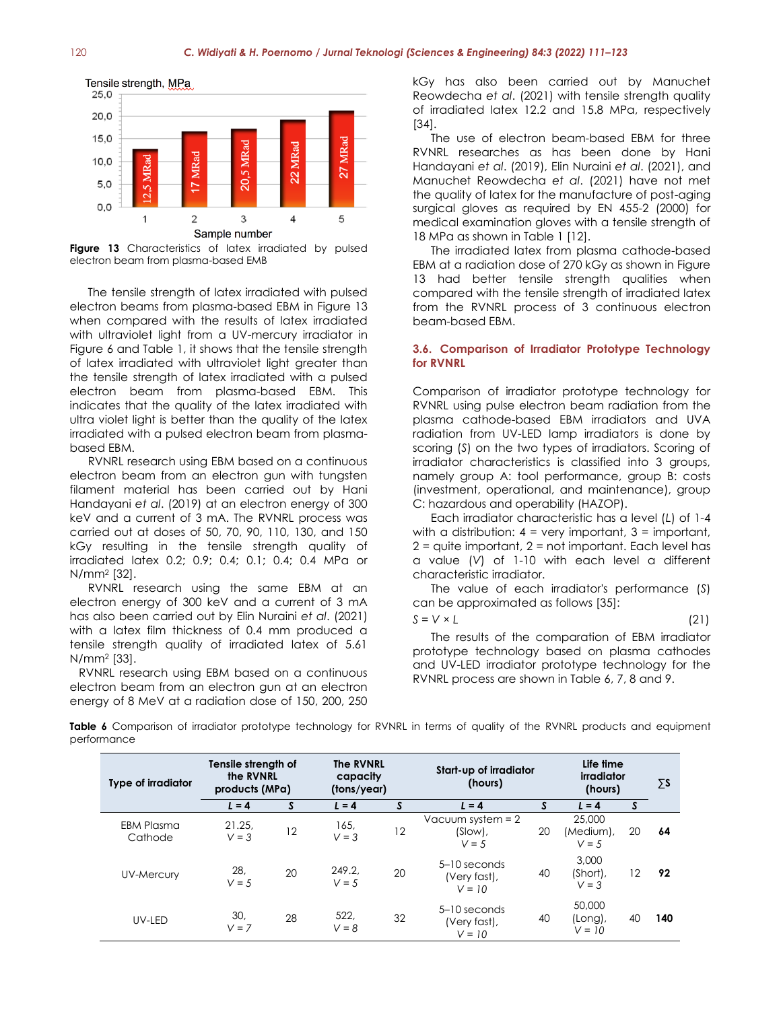

**Figure 13** Characteristics of latex irradiated by pulsed electron beam from plasma-based EMB

The tensile strength of latex irradiated with pulsed electron beams from plasma-based EBM in Figure 13 when compared with the results of latex irradiated with ultraviolet light from a UV-mercury irradiator in Figure 6 and Table 1, it shows that the tensile strength of latex irradiated with ultraviolet light greater than the tensile strength of latex irradiated with a pulsed electron beam from plasma-based EBM. This indicates that the quality of the latex irradiated with ultra violet light is better than the quality of the latex irradiated with a pulsed electron beam from plasmabased EBM.

RVNRL research using EBM based on a continuous electron beam from an electron gun with tungsten filament material has been carried out by Hani Handayani *et al*. (2019) at an electron energy of 300 keV and a current of 3 mA. The RVNRL process was carried out at doses of 50, 70, 90, 110, 130, and 150 kGy resulting in the tensile strength quality of irradiated latex 0.2; 0.9; 0.4; 0.1; 0.4; 0.4 MPa or N/mm<sup>2</sup> [32].

RVNRL research using the same EBM at an electron energy of 300 keV and a current of 3 mA has also been carried out by Elin Nuraini *et al*. (2021) with a latex film thickness of 0.4 mm produced a tensile strength quality of irradiated latex of 5.61 N/mm<sup>2</sup> [33].

RVNRL research using EBM based on a continuous electron beam from an electron gun at an electron energy of 8 MeV at a radiation dose of 150, 200, 250

kGy has also been carried out by Manuchet Reowdecha *et al*. (2021) with tensile strength quality of irradiated latex 12.2 and 15.8 MPa, respectively [34].

The use of electron beam-based EBM for three RVNRL researches as has been done by Hani Handayani *et al*. (2019), Elin Nuraini *et al*. (2021), and Manuchet Reowdecha *et al*. (2021) have not met the quality of latex for the manufacture of post-aging surgical gloves as required by EN 455-2 (2000) for medical examination gloves with a tensile strength of 18 MPa as shown in Table 1 [12].

The irradiated latex from plasma cathode-based EBM at a radiation dose of 270 kGy as shown in Figure 13 had better tensile strength qualities when compared with the tensile strength of irradiated latex from the RVNRL process of 3 continuous electron beam-based EBM.

#### **3.6. Comparison of Irradiator Prototype Technology for RVNRL**

Comparison of irradiator prototype technology for RVNRL using pulse electron beam radiation from the plasma cathode-based EBM irradiators and UVA radiation from UV-LED lamp irradiators is done by scoring (*S*) on the two types of irradiators. Scoring of irradiator characteristics is classified into 3 groups, namely group A: tool performance, group B: costs (investment, operational, and maintenance), group C: hazardous and operability (HAZOP).

Each irradiator characteristic has a level (*L*) of 1-4 with a distribution:  $4 = \text{very important}, 3 = \text{important},$  $2 =$  quite important,  $2 =$  not important. Each level has a value (*V*) of 1-10 with each level a different characteristic irradiator.

The value of each irradiator's performance (*S*) can be approximated as follows [35]:

$$
S = V \times L \tag{21}
$$

The results of the comparation of EBM irradiator prototype technology based on plasma cathodes and UV-LED irradiator prototype technology for the RVNRL process are shown in Table 6, 7, 8 and 9.

| Table 6 Comparison of irradiator prototype technology for RVNRL in terms of quality of the RVNRL products and equipment |  |  |  |  |  |  |
|-------------------------------------------------------------------------------------------------------------------------|--|--|--|--|--|--|
| performance                                                                                                             |  |  |  |  |  |  |

| <b>Type of irradiator</b> | Tensile strength of<br>the RVNRL<br>products (MPa) |    | <b>The RVNRL</b><br>capacity<br>(tons/year) |    | Start-up of irradiator<br>(hours)            |    | Life time<br>irradiator<br>(hours) |    | $\Sigma$ s |
|---------------------------|----------------------------------------------------|----|---------------------------------------------|----|----------------------------------------------|----|------------------------------------|----|------------|
|                           | $L = 4$                                            | S  | $L = 4$                                     | S  | $L = 4$                                      |    | $L = 4$                            | S  |            |
| EBM Plasma<br>Cathode     | 21.25.<br>$V = 3$                                  | 12 | 165,<br>$V = 3$                             | 12 | Vacuum system $= 2$<br>$(Slow)$ ,<br>$V = 5$ | 20 | 25.000<br>(Medium),<br>$V = 5$     | 20 | 64         |
| UV-Mercury                | 28,<br>$V = 5$                                     | 20 | 249.2.<br>$V = 5$                           | 20 | $5-10$ seconds<br>(Very fast),<br>$V = 10$   | 40 | 3,000<br>(Short),<br>$V = 3$       | 12 | 92         |
| UV-LED                    | 30,<br>$V = 7$                                     | 28 | 522,<br>$V = 8$                             | 32 | $5-10$ seconds<br>(Very fast),<br>$V = 10$   | 40 | 50,000<br>(Long),<br>$V = 10$      | 40 | 140        |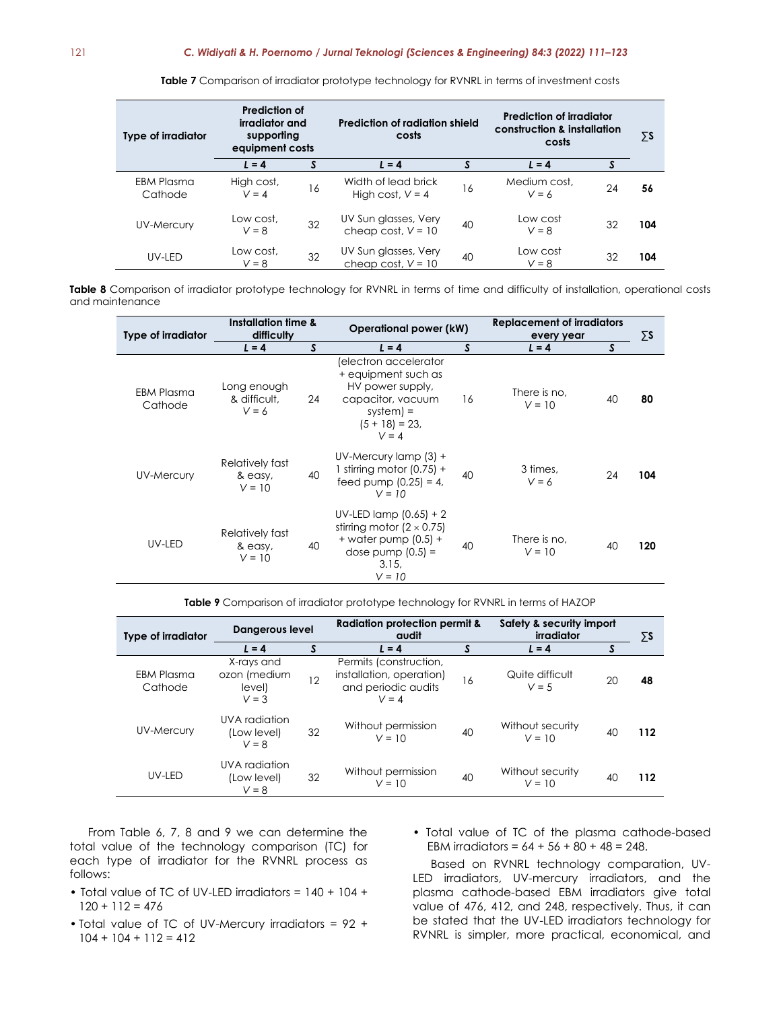| Type of irradiator    | Prediction of<br>irradiator and<br>supporting<br>equipment costs |    | Prediction of radiation shield<br>costs      |    | <b>Prediction of irradiator</b><br>construction & installation<br>costs | ΣS |     |
|-----------------------|------------------------------------------------------------------|----|----------------------------------------------|----|-------------------------------------------------------------------------|----|-----|
|                       | $L = 4$                                                          |    | $L = 4$                                      |    | $L = 4$                                                                 |    |     |
| EBM Plasma<br>Cathode | High cost,<br>$V = 4$                                            | 16 | Width of lead brick<br>High cost, $V = 4$    | 16 | Medium cost.<br>$V = 6$                                                 | 24 | 56  |
| <b>UV-Mercury</b>     | Low cost.<br>$V = 8$                                             | 32 | UV Sun glasses, Very<br>cheap cost, $V = 10$ | 40 | Low cost<br>$V = 8$                                                     | 32 | 104 |
| UV-LED                | Low cost,<br>$V = 8$                                             | 32 | UV Sun glasses, Very<br>cheap cost, $V = 10$ | 40 | Low cost<br>$V = 8$                                                     | 32 | 104 |

**Table 7** Comparison of irradiator prototype technology for RVNRL in terms of investment costs

Table 8 Comparison of irradiator prototype technology for RVNRL in terms of time and difficulty of installation, operational costs and maintenance

| <b>Type of irradiator</b>    | Installation time &<br>difficulty      |    | Operational power (kW)                                                                                                                 |    | Replacement of irradiators<br>every year |     |  |
|------------------------------|----------------------------------------|----|----------------------------------------------------------------------------------------------------------------------------------------|----|------------------------------------------|-----|--|
|                              | $L = 4$                                | S  | $L = 4$                                                                                                                                | S  | S<br>$L = 4$                             |     |  |
| <b>EBM Plasma</b><br>Cathode | Long enough<br>& difficult.<br>$V = 6$ | 24 | (electron accelerator<br>+ equipment such as<br>HV power supply,<br>capacitor, vacuum<br>$s$ ystem $) =$<br>$(5 + 18) = 23$<br>$V = 4$ | 16 | There is no,<br>40<br>$V = 10$           | 80  |  |
| UV-Mercury                   | Relatively fast<br>& easy,<br>$V = 10$ | 40 | UV-Mercury lamp $(3) +$<br>1 stirring motor $(0.75) +$<br>feed pump $(0.25) = 4$ ,<br>$V = 10$                                         | 40 | 3 times,<br>24<br>$V = 6$                | 104 |  |
| UV-LED                       | Relatively fast<br>& easy,<br>$V = 10$ | 40 | UV-LED lamp $(0.65) + 2$<br>stirring motor $(2 \times 0.75)$<br>$+$ water pump (0.5) $+$<br>dose pump $(0.5) =$<br>3.15,<br>$V = 10$   | 40 | There is no.<br>40<br>$V = 10$           | 120 |  |

**Table 9** Comparison of irradiator prototype technology for RVNRL in terms of HAZOP

| <b>Type of irradiator</b> | <b>Dangerous level</b>                          |    | <b>Radiation protection permit &amp;</b><br>audit                                    |    | Safety & security import<br>irradiator |    | ΣS  |
|---------------------------|-------------------------------------------------|----|--------------------------------------------------------------------------------------|----|----------------------------------------|----|-----|
|                           | $L = 4$                                         |    | $L = 4$                                                                              | S  | $L = 4$                                | S  |     |
| EBM Plasma<br>Cathode     | X-rays and<br>ozon (medium<br>level)<br>$V = 3$ | 12 | Permits (construction,<br>installation, operation)<br>and periodic audits<br>$V = 4$ | 16 | Quite difficult<br>$V = 5$             | 20 | 48  |
| UV-Mercury                | UVA radiation<br>(Low level)<br>$V = 8$         | 32 | Without permission<br>$V = 10$                                                       | 40 | Without security<br>$V = 10$           | 40 | 112 |
| UV-LED                    | UVA radiation<br>(Low level)<br>$V = 8$         | 32 | Without permission<br>$V = 10$                                                       | 40 | Without security<br>$V = 10$           | 40 | 112 |

From Table 6, 7, 8 and 9 we can determine the total value of the technology comparison (TC) for each type of irradiator for the RVNRL process as follows:

- Total value of TC of UV-LED irradiators = 140 + 104 +  $120 + 112 = 476$
- Total value of TC of UV-Mercury irradiators = 92 +  $104 + 104 + 112 = 412$
- Total value of TC of the plasma cathode-based EBM irradiators =  $64 + 56 + 80 + 48 = 248$ .

Based on RVNRL technology comparation, UV-LED irradiators, UV-mercury irradiators, and the plasma cathode-based EBM irradiators give total value of 476, 412, and 248, respectively. Thus, it can be stated that the UV-LED irradiators technology for RVNRL is simpler, more practical, economical, and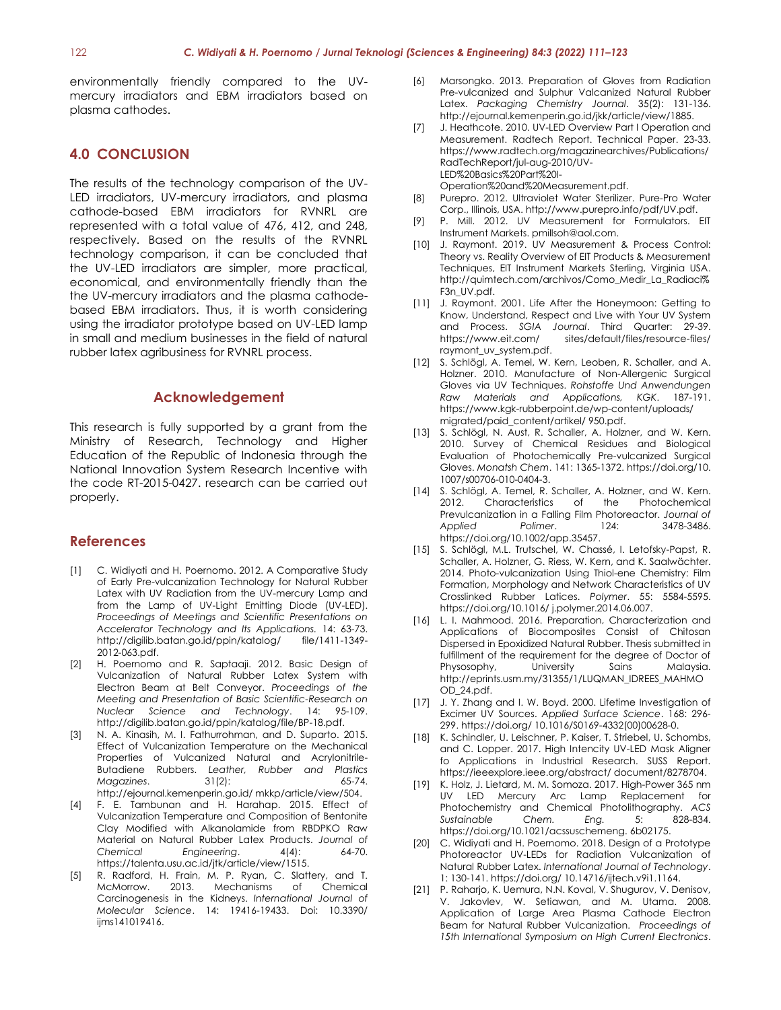environmentally friendly compared to the UVmercury irradiators and EBM irradiators based on plasma cathodes.

### **4.0 CONCLUSION**

The results of the technology comparison of the UV-LED irradiators, UV-mercury irradiators, and plasma cathode-based EBM irradiators for RVNRL are represented with a total value of 476, 412, and 248, respectively. Based on the results of the RVNRL technology comparison, it can be concluded that the UV-LED irradiators are simpler, more practical, economical, and environmentally friendly than the the UV-mercury irradiators and the plasma cathodebased EBM irradiators. Thus, it is worth considering using the irradiator prototype based on UV-LED lamp in small and medium businesses in the field of natural rubber latex agribusiness for RVNRL process.

#### **Acknowledgement**

This research is fully supported by a grant from the Ministry of Research, Technology and Higher Education of the Republic of Indonesia through the National Innovation System Research Incentive with the code RT-2015-0427. research can be carried out properly.

#### **References**

- [1] C. Widiyati and H. Poernomo. 2012. A Comparative Study of Early Pre-vulcanization Technology for Natural Rubber Latex with UV Radiation from the UV-mercury Lamp and from the Lamp of UV-Light Emitting Diode (UV-LED). *Proceedings of Meetings and Scientific Presentations on Accelerator Technology and Its Applications.* 14: 63-73. http://digilib.batan.go.id/ppin/katalog/ file/1411-1349- 2012-063.pdf.
- [2] H. Poernomo and R. Saptaaji. 2012. Basic Design of Vulcanization of Natural Rubber Latex System with Electron Beam at Belt Conveyor. *Proceedings of the Meeting and Presentation of Basic Scientific-Research on Nuclear Science and Technology*. 14: 95-109. http://digilib.batan.go.id/ppin/katalog/file/BP-18.pdf.
- [3] N. A. Kinasih, M. I. Fathurrohman, and D. Suparto. 2015. Effect of Vulcanization Temperature on the Mechanical Properties of Vulcanized Natural and Acrylonitrile-Butadiene Rubbers. *Leather, Rubber and Plastics Magazines.* 31(2): http://ejournal.kemenperin.go.id/ mkkp/article/view/504.
- [4] F. E. Tambunan and H. Harahap. 2015. Effect of Vulcanization Temperature and Composition of Bentonite Clay Modified with Alkanolamide from RBDPKO Raw Material on Natural Rubber Latex Products. *Journal of Chemical Engineering*. 4(4): 64-70. https://talenta.usu.ac.id/jtk/article/view/1515.
- [5] R. Radford, H. Frain, M. P. Ryan, C. Slattery, and T. McMorrow. 2013. Mechanisms of Chemical Carcinogenesis in the Kidneys. *International Journal of Molecular Science*. 14: 19416-19433. Doi: 10.3390/ iims141019416.
- [6] Marsongko. 2013. Preparation of Gloves from Radiation Pre-vulcanized and Sulphur Valcanized Natural Rubber Latex. *Packaging Chemistry Journal*. 35(2): 131-136. http://ejournal.kemenperin.go.id/jkk/article/view/1885.
- [7] J. Heathcote. 2010. UV-LED Overview Part I Operation and Measurement. Radtech Report. Technical Paper. 23-33. [https://www.radtech.org/magazinearchives/Publications/](https://www.radtech.org/magazinearchives/Publications/RadTechReport/jul-aug-2010/UV-LED%20Basics%20Part%20I-Operation%20and%20Measurement.pdf) [RadTechReport/jul-aug-2010/UV-](https://www.radtech.org/magazinearchives/Publications/RadTechReport/jul-aug-2010/UV-LED%20Basics%20Part%20I-Operation%20and%20Measurement.pdf)[LED%20Basics%20Part%20I-](https://www.radtech.org/magazinearchives/Publications/RadTechReport/jul-aug-2010/UV-LED%20Basics%20Part%20I-Operation%20and%20Measurement.pdf)

[Operation%20and%20Measurement.pdf.](https://www.radtech.org/magazinearchives/Publications/RadTechReport/jul-aug-2010/UV-LED%20Basics%20Part%20I-Operation%20and%20Measurement.pdf)

- [8] Purepro. 2012. Ultraviolet Water Sterilizer. Pure-Pro Water Corp., Illinois, USA[. http://www.purepro.info/pdf/UV.pdf.](http://www.purepro.info/pdf/UV.pdf)
- [9] P. Mill. 2012. UV Measurement for Formulators. EIT Instrument Markets[. pmillsoh@aol.com.](mailto:pmillsoh@aol.com)
- [10] J. Raymont. 2019. UV Measurement & Process Control: Theory vs. Reality Overview of EIT Products & Measurement Techniques, EIT Instrument Markets Sterling, Virginia USA. [http://quimtech.com/archivos/Como\\_Medir\\_La\\_Radiaci%](http://quimtech.com/archivos/Como_Medir_La_Radiaci%F3n_UV.pdf) [F3n\\_UV.pdf.](http://quimtech.com/archivos/Como_Medir_La_Radiaci%F3n_UV.pdf)
- [11] J. Raymont. 2001. Life After the Honeymoon: Getting to Know, Understand, Respect and Live with Your UV System and Process. *SGIA Journal*. Third Quarter: 29-39. [https://www.eit.com/ sites/default/files/resource-files/](https://www.eit.com/%20sites/default/files/resource-files/%20raymont_uv_system.pdf)  [raymont\\_uv\\_system.pdf.](https://www.eit.com/%20sites/default/files/resource-files/%20raymont_uv_system.pdf)
- [12] S. Schlögl, A. Temel, W. Kern, Leoben, R. Schaller, and A. Holzner. 2010. Manufacture of Non-Allergenic Surgical Gloves via UV Techniques. *Rohstoffe Und Anwendungen Raw Materials and Applications, KGK*. 187-191. https://www.kgk-rubberpoint.de/wp-content/uploads/ migrated/paid\_content/artikel/ 950.pdf.
- [13] S. Schlögl, N. Aust, R. Schaller, A. Holzner, and W. Kern. 2010. Survey of Chemical Residues and Biological Evaluation of Photochemically Pre-vulcanized Surgical Gloves. *Monatsh Chem*. 141: 1365-1372. https://doi.org/10. 1007/s00706-010-0404-3.
- [14] S. Schlögl, A. Temel, R. Schaller, A. Holzner, and W. Kern. 2012. Characteristics of the Photochemical Prevulcanization in a Falling Film Photoreactor. *Journal of Applied Polimer*. 124: 3478-3486. https://doi.org/10.1002/app.35457.
- [15] S. Schlögl, M.L. Trutschel, W. Chassé, I. Letofsky-Papst, R. Schaller, A. Holzner, G. Riess, W. Kern, and K. Saalwächter. 2014. Photo-vulcanization Using Thiol-ene Chemistry: Film Formation, Morphology and Network Characteristics of UV Crosslinked Rubber Latices. *Polymer*. 55: 5584-5595. https://doi.org/10.1016/ j.polymer.2014.06.007.
- [16] L. I. Mahmood. 2016. Preparation, Characterization and Applications of Biocomposites Consist of Chitosan Dispersed in Epoxidized Natural Rubber. Thesis submitted in fulfillment of the requirement for the degree of Doctor of Physosophy, University Sains Malaysia. http://eprints.usm.my/31355/1/LUQMAN\_IDREES\_MAHMO OD\_24.pdf.
- [17] J. Y. Zhang and I. W. Boyd. 2000. Lifetime Investigation of Excimer UV Sources. *Applied Surface Science*. 168: 296- 299. https://doi.org/ 10.1016/S0169-4332(00)00628-0.
- [18] K. Schindler, U. Leischner, P. Kaiser, T. Striebel, U. Schombs, and C. Lopper. 2017. High Intencity UV-LED Mask Aligner fo Applications in Industrial Research. SUSS Report. https://ieeexplore.ieee.org/abstract/ document/8278704.
- [19] K. Holz, J. Lietard, M. M. Somoza. 2017. High-Power 365 nm UV LED Mercury Arc Lamp Replacement for Photochemistry and Chemical Photolithography. *ACS Sustainable* Chem. Eng. 5: https://doi.org/10.1021/acssuschemeng. 6b02175.
- [20] C. Widiyati and H. Poernomo. 2018. Design of a Prototype Photoreactor UV-LEDs for Radiation Vulcanization of Natural Rubber Latex. *International Journal of Technology*. 1: 130-141. https://doi.org/ 10.14716/ijtech.v9i1.1164.
- [21] P. Raharjo, K. Uemura, N.N. Koval, V. Shugurov, V. Denisov, V. Jakovlev, W. Setiawan, and M. Utama. 2008. Application of Large Area Plasma Cathode Electron Beam for Natural Rubber Vulcanization. *Proceedings of 15th International Symposium on High Current Electronics*.